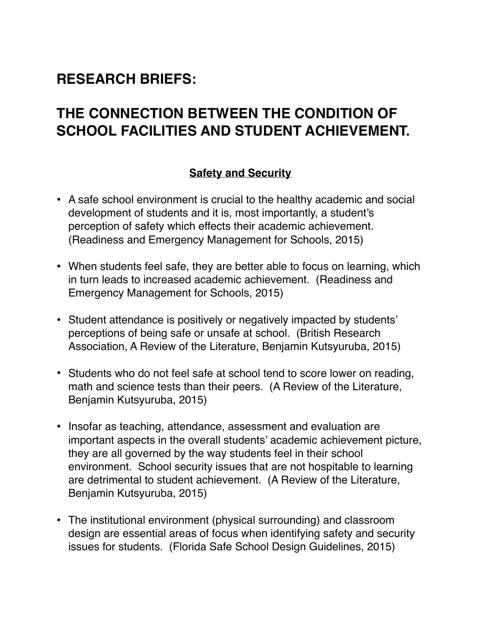## **RESEARCH BRIEFS:**

# **THE CONNECTION BETWEEN THE CONDITION OF SCHOOL FACILITIES AND STUDENT ACHIEVEMENT.**

### **Safety and Security**

- A safe school environment is crucial to the healthy academic and social development of students and it is, most importantly, a student's perception of safety which effects their academic achievement. (Readiness and Emergency Management for Schools, 2015)
- When students feel safe, they are better able to focus on learning, which in turn leads to increased academic achievement. (Readiness and Emergency Management for Schools, 2015)
- Student attendance is positively or negatively impacted by students' perceptions of being safe or unsafe at school. (British Research Association, A Review of the Literature, Benjamin Kutsyuruba, 2015)
- Students who do not feel safe at school tend to score lower on reading, math and science tests than their peers. (A Review of the Literature, Benjamin Kutsyuruba, 2015)
- Insofar as teaching, attendance, assessment and evaluation are important aspects in the overall students' academic achievement picture, they are all governed by the way students feel in their school environment. School security issues that are not hospitable to learning are detrimental to student achievement. (A Review of the Literature, Benjamin Kutsyuruba, 2015)
- The institutional environment (physical surrounding) and classroom design are essential areas of focus when identifying safety and security issues for students. (Florida Safe School Design Guidelines, 2015)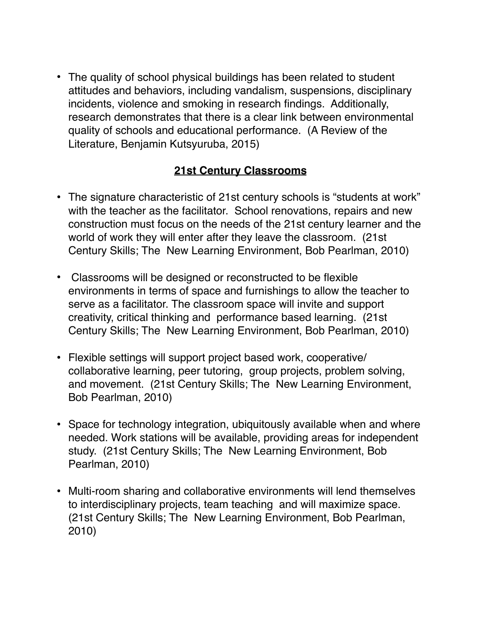• The quality of school physical buildings has been related to student attitudes and behaviors, including vandalism, suspensions, disciplinary incidents, violence and smoking in research findings. Additionally, research demonstrates that there is a clear link between environmental quality of schools and educational performance. (A Review of the Literature, Benjamin Kutsyuruba, 2015)

### **21st Century Classrooms**

- The signature characteristic of 21st century schools is "students at work" with the teacher as the facilitator. School renovations, repairs and new construction must focus on the needs of the 21st century learner and the world of work they will enter after they leave the classroom. (21st Century Skills; The New Learning Environment, Bob Pearlman, 2010)
- Classrooms will be designed or reconstructed to be flexible environments in terms of space and furnishings to allow the teacher to serve as a facilitator. The classroom space will invite and support creativity, critical thinking and performance based learning. (21st Century Skills; The New Learning Environment, Bob Pearlman, 2010)
- Flexible settings will support project based work, cooperative/ collaborative learning, peer tutoring, group projects, problem solving, and movement. (21st Century Skills; The New Learning Environment, Bob Pearlman, 2010)
- Space for technology integration, ubiquitously available when and where needed. Work stations will be available, providing areas for independent study. (21st Century Skills; The New Learning Environment, Bob Pearlman, 2010)
- Multi-room sharing and collaborative environments will lend themselves to interdisciplinary projects, team teaching and will maximize space. (21st Century Skills; The New Learning Environment, Bob Pearlman, 2010)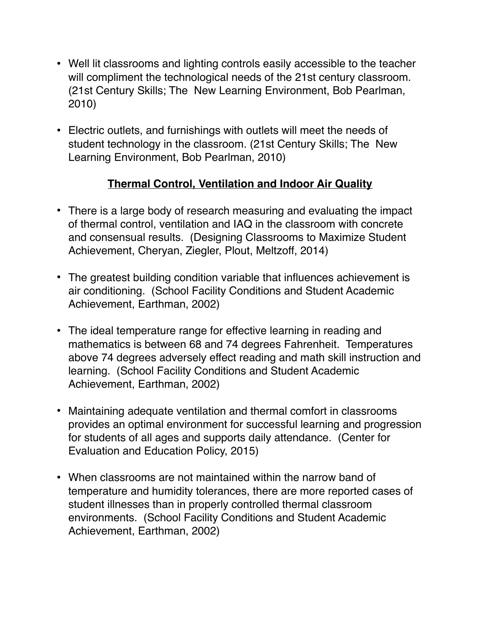- Well lit classrooms and lighting controls easily accessible to the teacher will compliment the technological needs of the 21st century classroom. (21st Century Skills; The New Learning Environment, Bob Pearlman, 2010)
- Electric outlets, and furnishings with outlets will meet the needs of student technology in the classroom. (21st Century Skills; The New Learning Environment, Bob Pearlman, 2010)

### **Thermal Control, Ventilation and Indoor Air Quality**

- There is a large body of research measuring and evaluating the impact of thermal control, ventilation and IAQ in the classroom with concrete and consensual results. (Designing Classrooms to Maximize Student Achievement, Cheryan, Ziegler, Plout, Meltzoff, 2014)
- The greatest building condition variable that influences achievement is air conditioning. (School Facility Conditions and Student Academic Achievement, Earthman, 2002)
- The ideal temperature range for effective learning in reading and mathematics is between 68 and 74 degrees Fahrenheit. Temperatures above 74 degrees adversely effect reading and math skill instruction and learning. (School Facility Conditions and Student Academic Achievement, Earthman, 2002)
- Maintaining adequate ventilation and thermal comfort in classrooms provides an optimal environment for successful learning and progression for students of all ages and supports daily attendance. (Center for Evaluation and Education Policy, 2015)
- When classrooms are not maintained within the narrow band of temperature and humidity tolerances, there are more reported cases of student illnesses than in properly controlled thermal classroom environments. (School Facility Conditions and Student Academic Achievement, Earthman, 2002)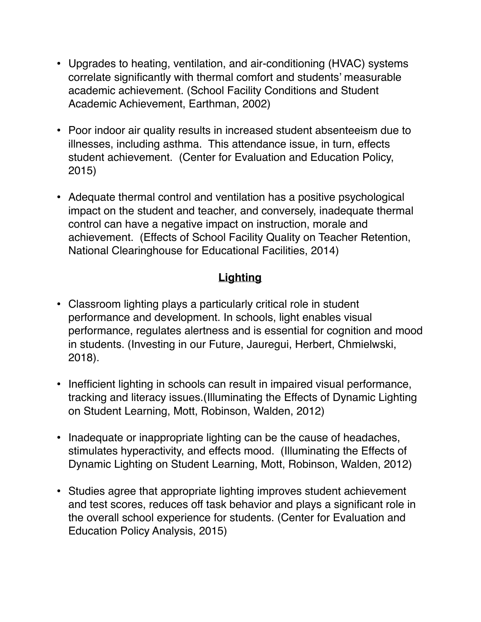- Upgrades to heating, ventilation, and air-conditioning (HVAC) systems correlate significantly with thermal comfort and students' measurable academic achievement. (School Facility Conditions and Student Academic Achievement, Earthman, 2002)
- Poor indoor air quality results in increased student absenteeism due to illnesses, including asthma. This attendance issue, in turn, effects student achievement. (Center for Evaluation and Education Policy, 2015)
- Adequate thermal control and ventilation has a positive psychological impact on the student and teacher, and conversely, inadequate thermal control can have a negative impact on instruction, morale and achievement. (Effects of School Facility Quality on Teacher Retention, National Clearinghouse for Educational Facilities, 2014)

### **Lighting**

- Classroom lighting plays a particularly critical role in student performance and development. In schools, light enables visual performance, regulates alertness and is essential for cognition and mood in students. (Investing in our Future, Jauregui, Herbert, Chmielwski, 2018).
- Inefficient lighting in schools can result in impaired visual performance, tracking and literacy issues.(Illuminating the Effects of Dynamic Lighting on Student Learning, Mott, Robinson, Walden, 2012)
- Inadequate or inappropriate lighting can be the cause of headaches, stimulates hyperactivity, and effects mood. (Illuminating the Effects of Dynamic Lighting on Student Learning, Mott, Robinson, Walden, 2012)
- Studies agree that appropriate lighting improves student achievement and test scores, reduces off task behavior and plays a significant role in the overall school experience for students. (Center for Evaluation and Education Policy Analysis, 2015)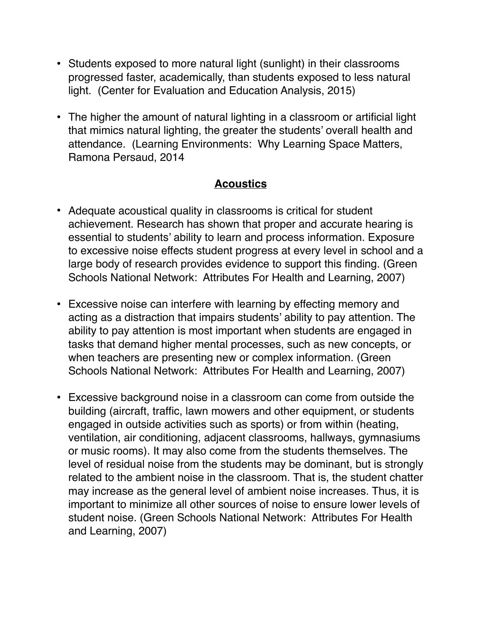- Students exposed to more natural light (sunlight) in their classrooms progressed faster, academically, than students exposed to less natural light. (Center for Evaluation and Education Analysis, 2015)
- The higher the amount of natural lighting in a classroom or artificial light that mimics natural lighting, the greater the students' overall health and attendance. (Learning Environments: Why Learning Space Matters, Ramona Persaud, 2014

#### **Acoustics**

- Adequate acoustical quality in classrooms is critical for student achievement. Research has shown that proper and accurate hearing is essential to students' ability to learn and process information. Exposure to excessive noise effects student progress at every level in school and a large body of research provides evidence to support this finding. (Green Schools National Network: Attributes For Health and Learning, 2007)
- Excessive noise can interfere with learning by effecting memory and acting as a distraction that impairs students' ability to pay attention. The ability to pay attention is most important when students are engaged in tasks that demand higher mental processes, such as new concepts, or when teachers are presenting new or complex information. (Green Schools National Network: Attributes For Health and Learning, 2007)
- Excessive background noise in a classroom can come from outside the building (aircraft, traffic, lawn mowers and other equipment, or students engaged in outside activities such as sports) or from within (heating, ventilation, air conditioning, adjacent classrooms, hallways, gymnasiums or music rooms). It may also come from the students themselves. The level of residual noise from the students may be dominant, but is strongly related to the ambient noise in the classroom. That is, the student chatter may increase as the general level of ambient noise increases. Thus, it is important to minimize all other sources of noise to ensure lower levels of student noise. (Green Schools National Network: Attributes For Health and Learning, 2007)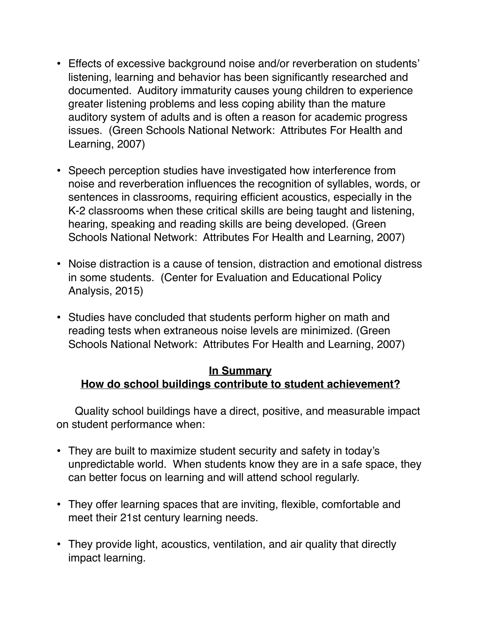- Effects of excessive background noise and/or reverberation on students' listening, learning and behavior has been significantly researched and documented. Auditory immaturity causes young children to experience greater listening problems and less coping ability than the mature auditory system of adults and is often a reason for academic progress issues. (Green Schools National Network: Attributes For Health and Learning, 2007)
- Speech perception studies have investigated how interference from noise and reverberation influences the recognition of syllables, words, or sentences in classrooms, requiring efficient acoustics, especially in the K-2 classrooms when these critical skills are being taught and listening, hearing, speaking and reading skills are being developed. (Green Schools National Network: Attributes For Health and Learning, 2007)
- Noise distraction is a cause of tension, distraction and emotional distress in some students. (Center for Evaluation and Educational Policy Analysis, 2015)
- Studies have concluded that students perform higher on math and reading tests when extraneous noise levels are minimized. (Green Schools National Network: Attributes For Health and Learning, 2007)

#### **In Summary How do school buildings contribute to student achievement?**

 Quality school buildings have a direct, positive, and measurable impact on student performance when:

- They are built to maximize student security and safety in today's unpredictable world. When students know they are in a safe space, they can better focus on learning and will attend school regularly.
- They offer learning spaces that are inviting, flexible, comfortable and meet their 21st century learning needs.
- They provide light, acoustics, ventilation, and air quality that directly impact learning.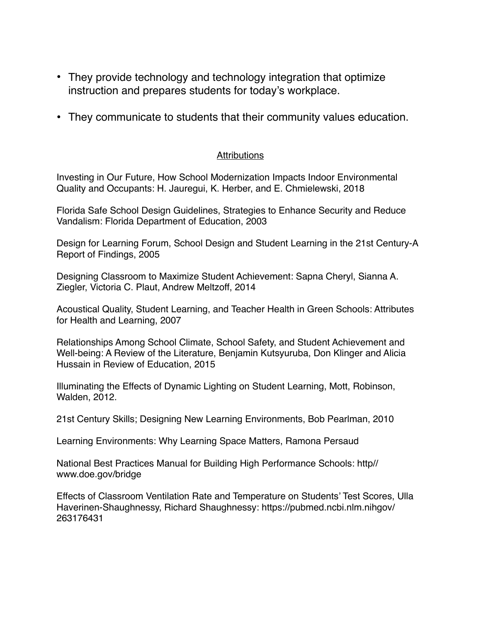- They provide technology and technology integration that optimize instruction and prepares students for today's workplace.
- They communicate to students that their community values education.

#### **Attributions**

Investing in Our Future, How School Modernization Impacts Indoor Environmental Quality and Occupants: H. Jauregui, K. Herber, and E. Chmielewski, 2018

Florida Safe School Design Guidelines, Strategies to Enhance Security and Reduce Vandalism: Florida Department of Education, 2003

Design for Learning Forum, School Design and Student Learning in the 21st Century-A Report of Findings, 2005

Designing Classroom to Maximize Student Achievement: Sapna Cheryl, Sianna A. Ziegler, Victoria C. Plaut, Andrew Meltzoff, 2014

Acoustical Quality, Student Learning, and Teacher Health in Green Schools: Attributes for Health and Learning, 2007

Relationships Among School Climate, School Safety, and Student Achievement and Well-being: A Review of the Literature, Benjamin Kutsyuruba, Don Klinger and Alicia Hussain in Review of Education, 2015

Illuminating the Effects of Dynamic Lighting on Student Learning, Mott, Robinson, Walden, 2012.

21st Century Skills; Designing New Learning Environments, Bob Pearlman, 2010

Learning Environments: Why Learning Space Matters, Ramona Persaud

National Best Practices Manual for Building High Performance Schools: http// www.doe.gov/bridge

Effects of Classroom Ventilation Rate and Temperature on Students' Test Scores, Ulla Haverinen-Shaughnessy, Richard Shaughnessy: https://pubmed.ncbi.nlm.nihgov/ 263176431